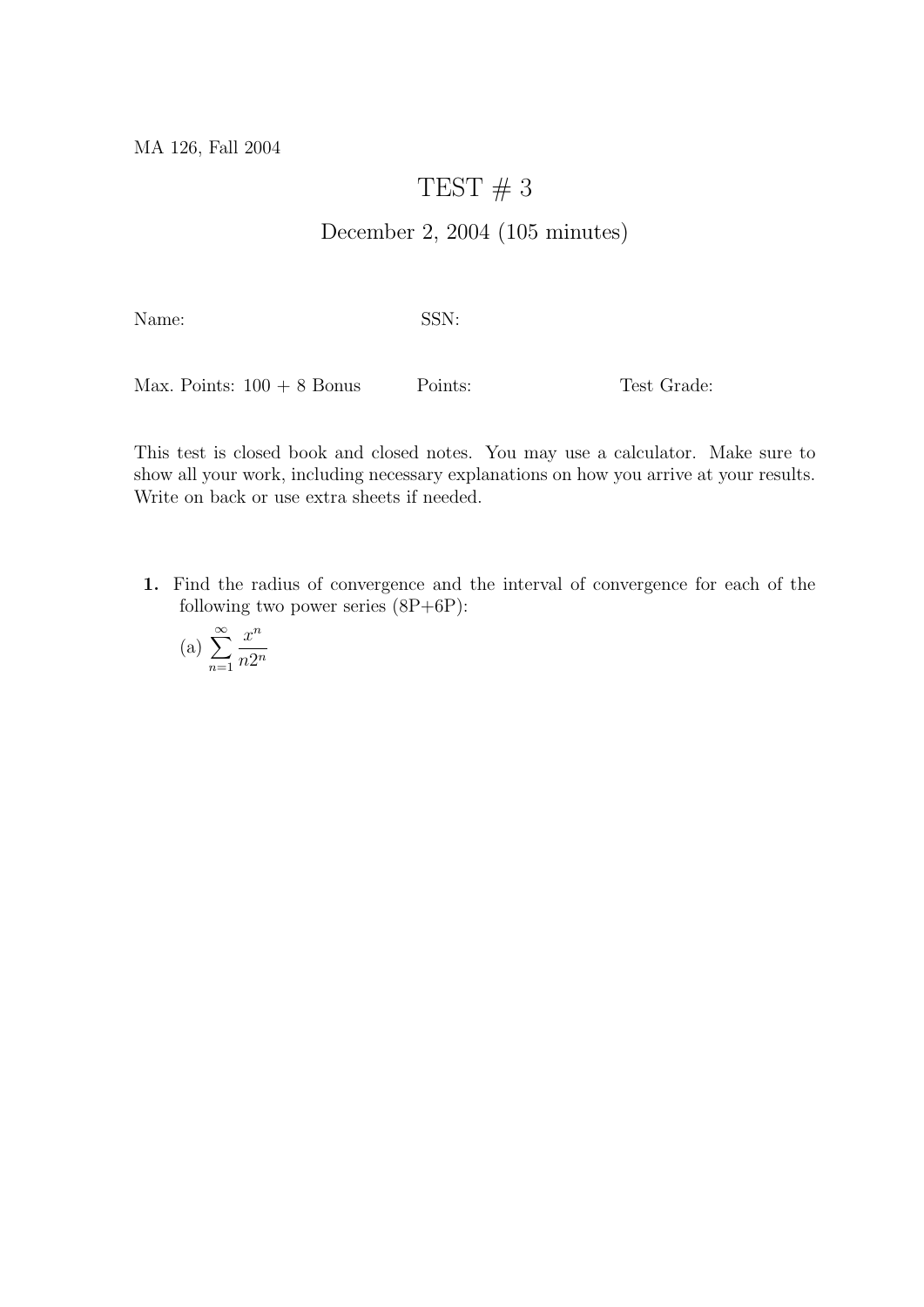MA 126, Fall 2004

## TEST  $# 3$

## December 2, 2004 (105 minutes)

Name: SSN:

Max. Points:  $100 + 8$  Bonus Points: Test Grade:

This test is closed book and closed notes. You may use a calculator. Make sure to show all your work, including necessary explanations on how you arrive at your results. Write on back or use extra sheets if needed.

1. Find the radius of convergence and the interval of convergence for each of the following two power series  $(8P+6P)$ :

$$
(a) \sum_{n=1}^{\infty} \frac{x^n}{n2^n}
$$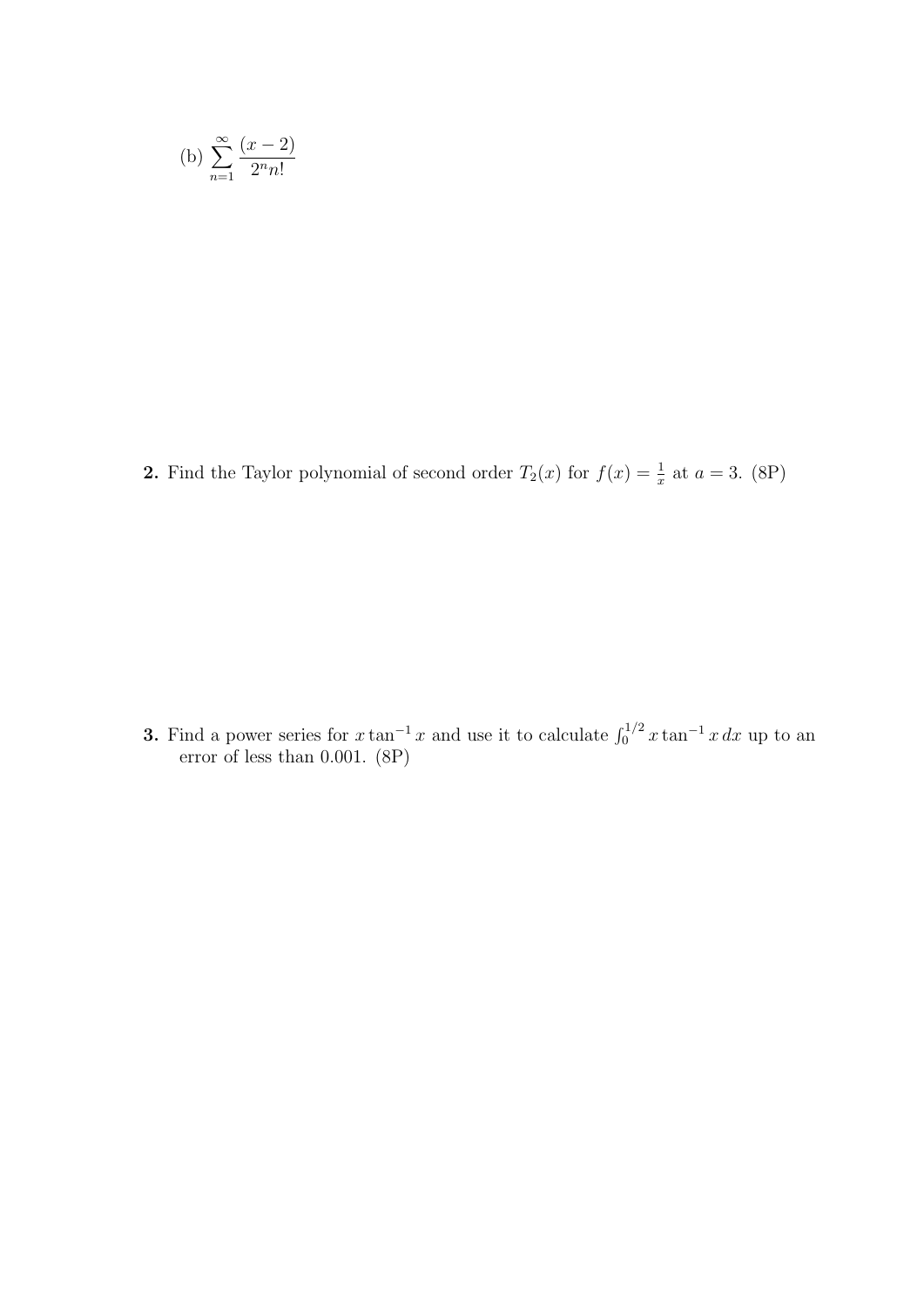(b) 
$$
\sum_{n=1}^{\infty} \frac{(x-2)}{2^n n!}
$$

**2.** Find the Taylor polynomial of second order  $T_2(x)$  for  $f(x) = \frac{1}{x}$  at  $a = 3$ . (8P)

**3.** Find a power series for  $x \tan^{-1} x$  and use it to calculate  $\int_0^{1/2} x \tan^{-1} x dx$  up to an error of less than 0.001. (8P)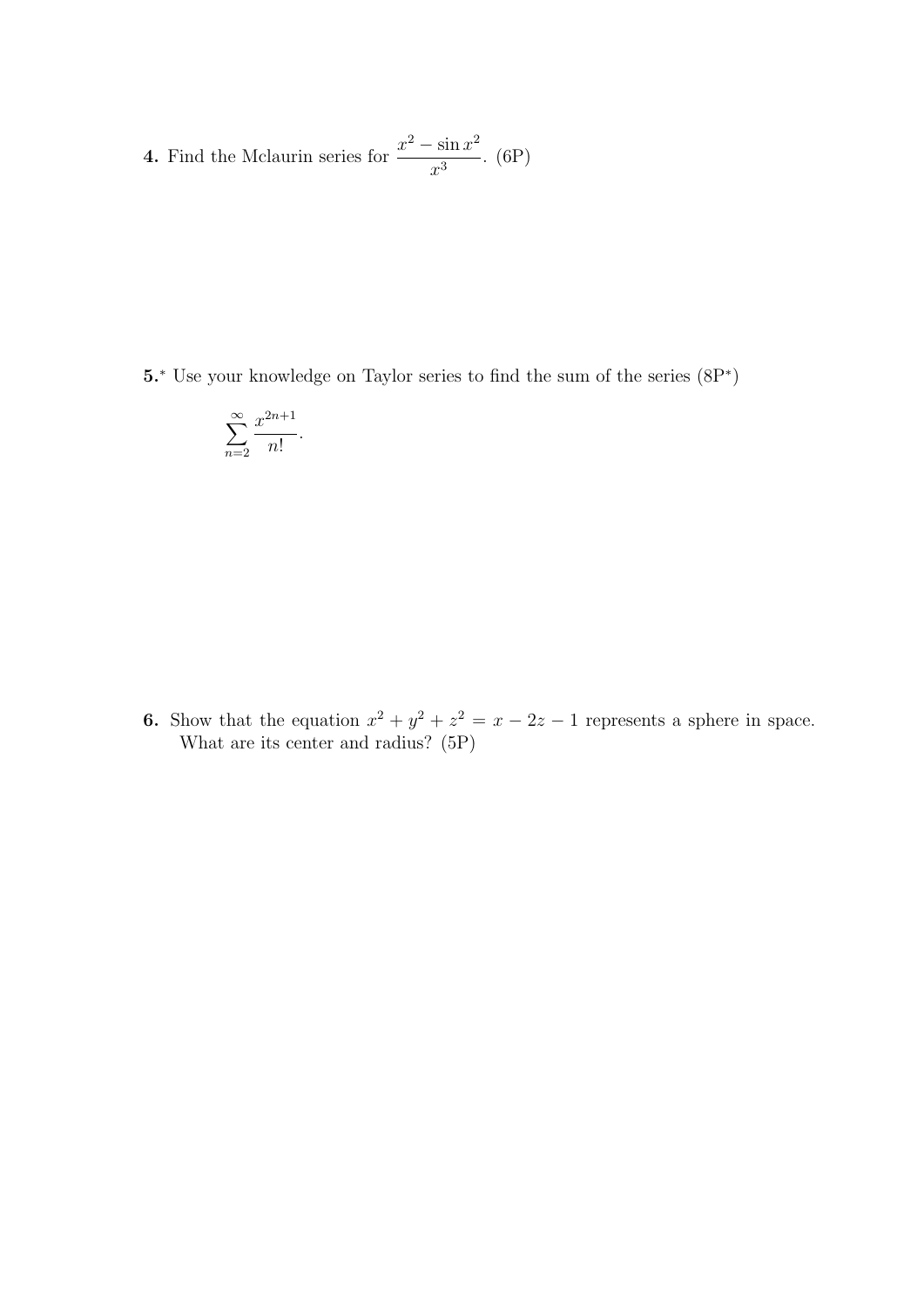4. Find the Mclaurin series for  $\frac{x^2 - \sin x^2}{x^2}$  $\frac{\sin x}{x^3}$ . (6P)

5.<sup>∗</sup> Use your knowledge on Taylor series to find the sum of the series (8P<sup>∗</sup> )

$$
\sum_{n=2}^{\infty} \frac{x^{2n+1}}{n!}.
$$

**6.** Show that the equation  $x^2 + y^2 + z^2 = x - 2z - 1$  represents a sphere in space. What are its center and radius? (5P)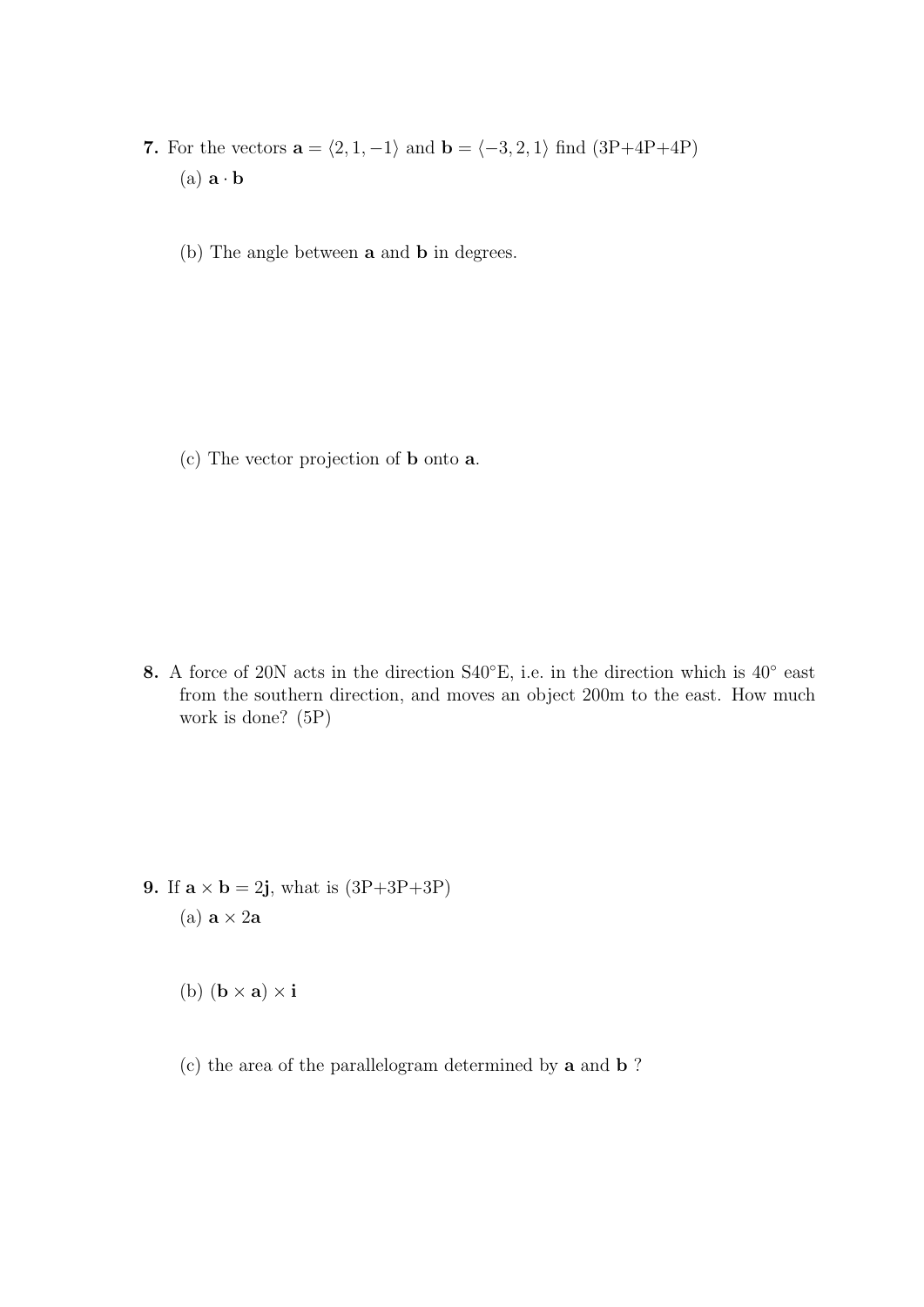7. For the vectors  $\mathbf{a} = \langle 2, 1, -1 \rangle$  and  $\mathbf{b} = \langle -3, 2, 1 \rangle$  find  $(3P+4P+4P)$ (a)  $\mathbf{a} \cdot \mathbf{b}$ 

(b) The angle between a and b in degrees.

(c) The vector projection of b onto a.

8. A force of 20N acts in the direction S40°E, i.e. in the direction which is 40° east from the southern direction, and moves an object 200m to the east. How much work is done? (5P)

9. If  $\mathbf{a} \times \mathbf{b} = 2\mathbf{j}$ , what is  $(3P+3P+3P)$ (a)  $\mathbf{a} \times 2\mathbf{a}$ 

(b)  $(\mathbf{b} \times \mathbf{a}) \times \mathbf{i}$ 

(c) the area of the parallelogram determined by a and b ?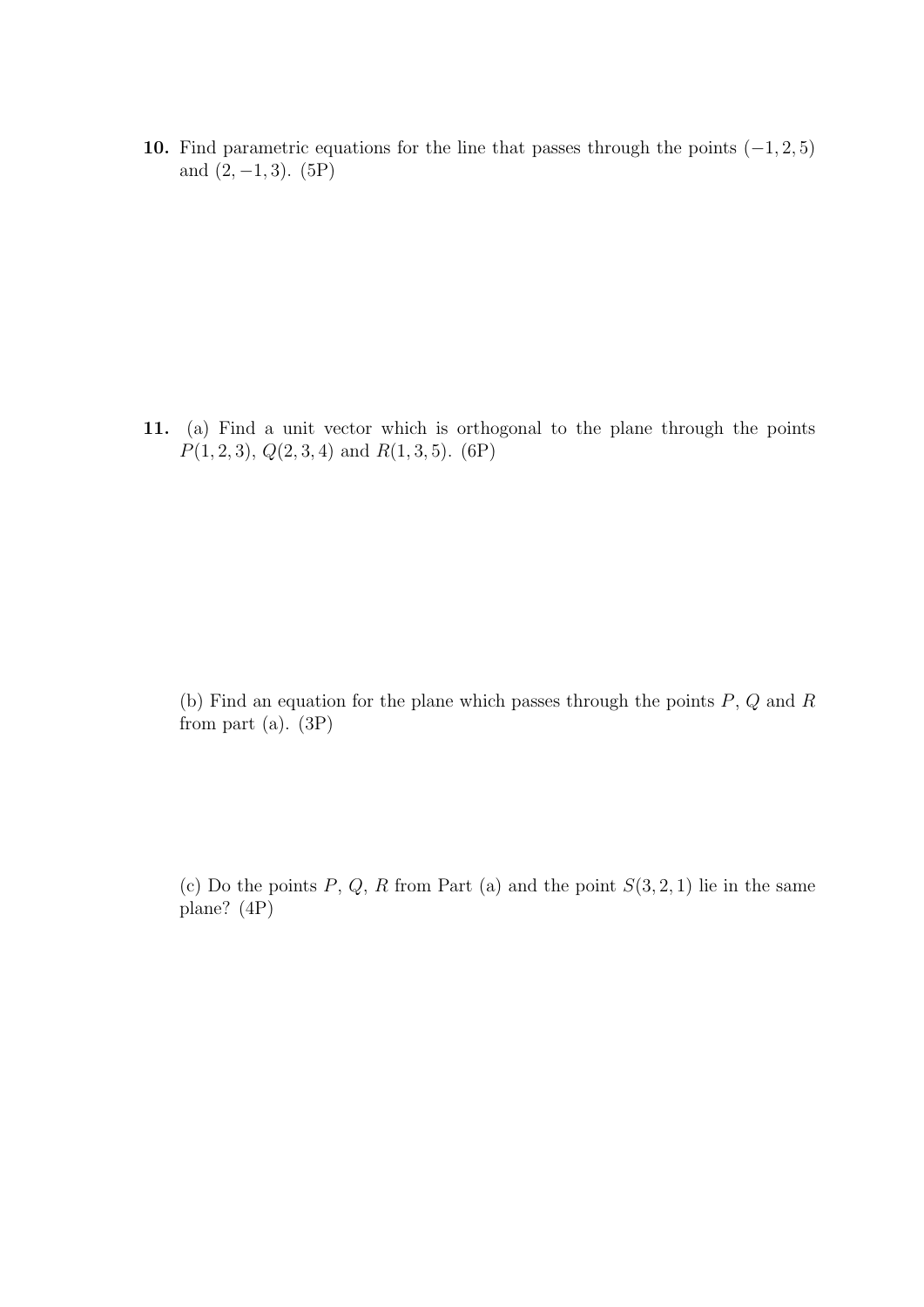10. Find parametric equations for the line that passes through the points  $(-1, 2, 5)$ and  $(2, -1, 3)$ . (5P)

11. (a) Find a unit vector which is orthogonal to the plane through the points  $P(1, 2, 3), Q(2, 3, 4)$  and  $R(1, 3, 5)$ . (6P)

(b) Find an equation for the plane which passes through the points  $P, Q$  and  $R$ from part (a).  $(3P)$ 

(c) Do the points  $P, Q, R$  from Part (a) and the point  $S(3, 2, 1)$  lie in the same plane? (4P)